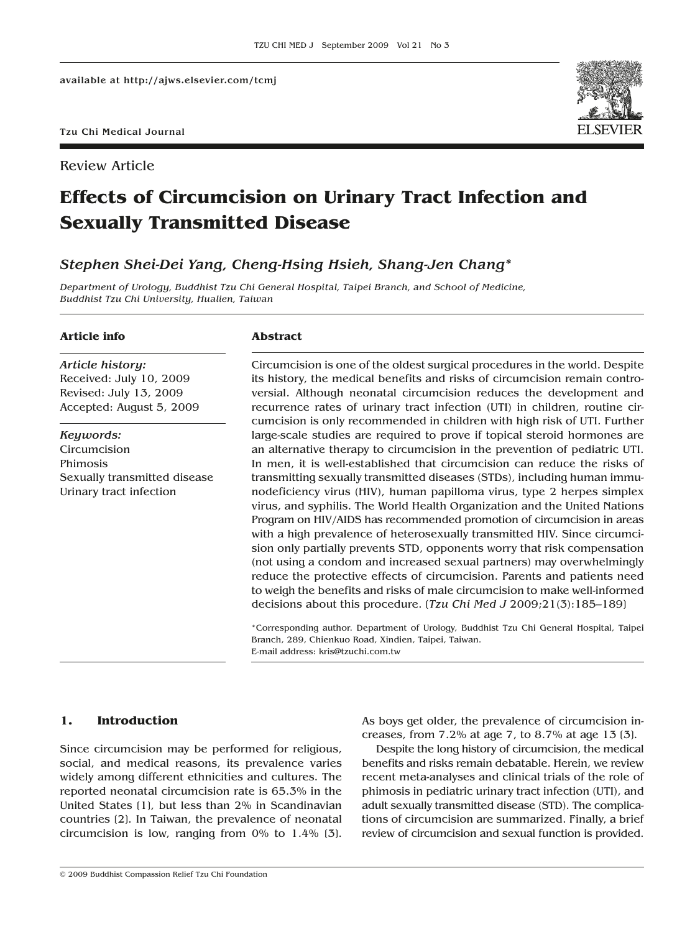Review Article



# **Effects of Circumcision on Urinary Tract Infection and Sexually Transmitted Disease**

## *Stephen Shei-Dei Yang, Cheng-Hsing Hsieh, Shang-Jen Chang\**

*Department of Urology, Buddhist Tzu Chi General Hospital, Taipei Branch, and School of Medicine, Buddhist Tzu Chi University, Hualien, Taiwan*

## **Article info**

*Article history:* Received: July 10, 2009 Revised: July 13, 2009 Accepted: August 5, 2009

*Keywords:* Circumcision Phimosis Sexually transmitted disease Urinary tract infection

#### **Abstract**

Circumcision is one of the oldest surgical procedures in the world. Despite its history, the medical benefits and risks of circumcision remain controversial. Although neonatal circumcision reduces the development and recurrence rates of urinary tract infection (UTI) in children, routine circumcision is only recommended in children with high risk of UTI. Further large-scale studies are required to prove if topical steroid hormones are an alternative therapy to circumcision in the prevention of pediatric UTI. In men, it is well-established that circumcision can reduce the risks of transmitting sexually transmitted diseases (STDs), including human immunodeficiency virus (HIV), human papilloma virus, type 2 herpes simplex virus, and syphilis. The World Health Organization and the United Nations Program on HIV/AIDS has recommended promotion of circumcision in areas with a high prevalence of heterosexually transmitted HIV. Since circumcision only partially prevents STD, opponents worry that risk compensation (not using a condom and increased sexual partners) may overwhelmingly reduce the protective effects of circumcision. Parents and patients need to weigh the benefits and risks of male circumcision to make well-informed decisions about this procedure. [*Tzu Chi Med J* 2009;21(3):185–189]

\*Corresponding author. Department of Urology, Buddhist Tzu Chi General Hospital, Taipei Branch, 289, Chienkuo Road, Xindien, Taipei, Taiwan. E-mail address: kris@tzuchi.com.tw

## **1. Introduction**

Since circumcision may be performed for religious, social, and medical reasons, its prevalence varies widely among different ethnicities and cultures. The reported neonatal circumcision rate is 65.3% in the United States [1], but less than 2% in Scandinavian countries [2]. In Taiwan, the prevalence of neonatal circumcision is low, ranging from 0% to 1.4% [3].

As boys get older, the prevalence of circumcision increases, from 7.2% at age 7, to 8.7% at age 13 [3].

Despite the long history of circumcision, the medical benefits and risks remain debatable. Herein, we review recent meta-analyses and clinical trials of the role of phimosis in pediatric urinary tract infection (UTI), and adult sexually transmitted disease (STD). The complications of circumcision are summarized. Finally, a brief review of circumcision and sexual function is provided.

© 2009 Buddhist Compassion Relief Tzu Chi Foundation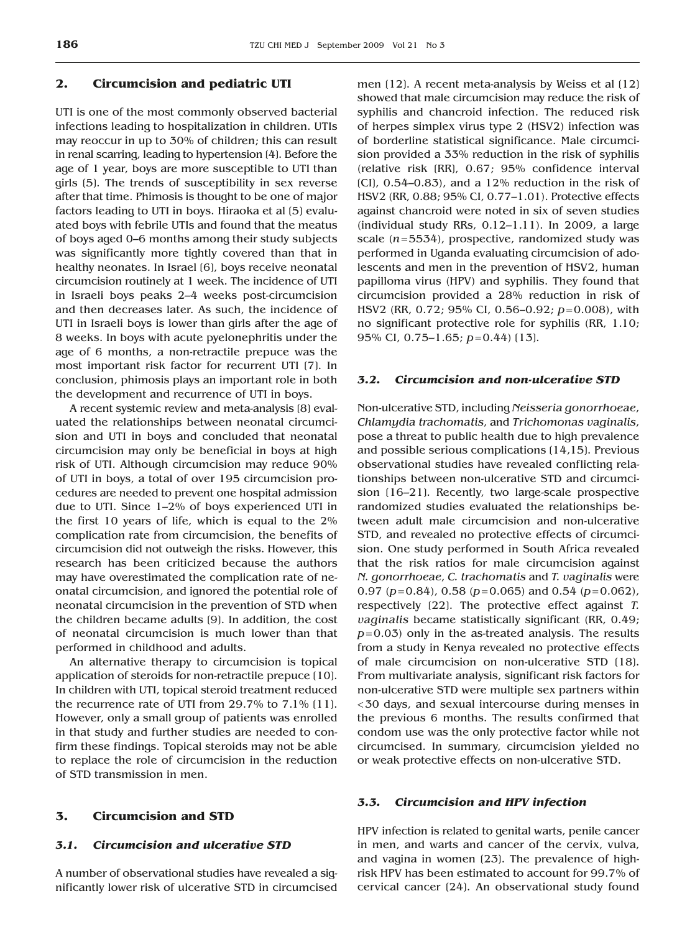## **2. Circumcision and pediatric UTI**

UTI is one of the most commonly observed bacterial infections leading to hospitalization in children. UTIs may reoccur in up to 30% of children; this can result in renal scarring, leading to hypertension [4]. Before the age of 1 year, boys are more susceptible to UTI than girls [5]. The trends of susceptibility in sex reverse after that time. Phimosis is thought to be one of major factors leading to UTI in boys. Hiraoka et al [5] evaluated boys with febrile UTIs and found that the meatus of boys aged 0–6 months among their study subjects was significantly more tightly covered than that in healthy neonates. In Israel (6), boys receive neonatal circumcision routinely at 1 week. The incidence of UTI in Israeli boys peaks 2–4 weeks post-circumcision and then decreases later. As such, the incidence of UTI in Israeli boys is lower than girls after the age of 8 weeks. In boys with acute pyelonephritis under the age of 6 months, a non-retractile prepuce was the most important risk factor for recurrent UTI [7]. In conclusion, phimosis plays an important role in both the development and recurrence of UTI in boys.

A recent systemic review and meta-analysis [8] evaluated the relationships between neonatal circumcision and UTI in boys and concluded that neonatal circumcision may only be beneficial in boys at high risk of UTI. Although circumcision may reduce 90% of UTI in boys, a total of over 195 circumcision procedures are needed to prevent one hospital admission due to UTI. Since 1–2% of boys experienced UTI in the first 10 years of life, which is equal to the 2% complication rate from circumcision, the benefits of circumcision did not outweigh the risks. However, this research has been criticized because the authors may have overestimated the complication rate of neonatal circumcision, and ignored the potential role of neonatal circumcision in the prevention of STD when the children became adults [9]. In addition, the cost of neonatal circumcision is much lower than that performed in childhood and adults.

An alternative therapy to circumcision is topical application of steroids for non-retractile prepuce [10]. In children with UTI, topical steroid treatment reduced the recurrence rate of UTI from 29.7% to 7.1% [11]. However, only a small group of patients was enrolled in that study and further studies are needed to confirm these findings. Topical steroids may not be able to replace the role of circumcision in the reduction of STD transmission in men.

#### **3. Circumcision and STD**

#### *3.1. Circumcision and ulcerative STD*

A number of observational studies have revealed a significantly lower risk of ulcerative STD in circumcised men (12). A recent meta-analysis by Weiss et al (12) showed that male circumcision may reduce the risk of syphilis and chancroid infection. The reduced risk of herpes simplex virus type 2 (HSV2) infection was of borderline statistical significance. Male circumcision provided a 33% reduction in the risk of syphilis (relative risk [RR], 0.67; 95% confidence interval  $[CI]$ ,  $0.54-0.83$ , and a  $12\%$  reduction in the risk of HSV2 (RR, 0.88; 95% CI, 0.77–1.01). Protective effects against chancroid were noted in six of seven studies (individual study RRs, 0.12–1.11). In 2009, a large scale (*n*= 5534), prospective, randomized study was performed in Uganda evaluating circumcision of adolescents and men in the prevention of HSV2, human papilloma virus (HPV) and syphilis. They found that circumcision provided a 28% reduction in risk of HSV2 (RR, 0.72; 95% CI, 0.56–0.92; *p*= 0.008), with no significant protective role for syphilis (RR, 1.10; 95% CI, 0.75-1.65;  $p=0.44$ ) (13).

#### *3.2. Circumcision and non-ulcerative STD*

Non-ulcerative STD, including *Neisseria gonorrhoeae*, *Chlamydia trachomatis*, and *Trichomonas vaginalis*, pose a threat to public health due to high prevalence and possible serious complications [14,15]. Previous observational studies have revealed conflicting relationships between non-ulcerative STD and circumcision [16–21]. Recently, two large-scale prospective randomized studies evaluated the relationships between adult male circumcision and non-ulcerative STD, and revealed no protective effects of circumcision. One study performed in South Africa revealed that the risk ratios for male circumcision against *N. gonorrhoeae*, *C. trachomatis* and *T. vaginalis* were 0.97 (*p*= 0.84), 0.58 (*p*= 0.065) and 0.54 (*p*= 0.062), respectively [22]. The protective effect against *T. vaginalis* became statistically significant (RR, 0.49; *p*= 0.03) only in the as-treated analysis. The results from a study in Kenya revealed no protective effects of male circumcision on non-ulcerative STD [18]. From multivariate analysis, significant risk factors for non-ulcerative STD were multiple sex partners within < 30 days, and sexual intercourse during menses in the previous 6 months. The results confirmed that condom use was the only protective factor while not circumcised. In summary, circumcision yielded no or weak protective effects on non-ulcerative STD.

#### *3.3. Circumcision and HPV infection*

HPV infection is related to genital warts, penile cancer in men, and warts and cancer of the cervix, vulva, and vagina in women [23]. The prevalence of highrisk HPV has been estimated to account for 99.7% of cervical cancer [24]. An observational study found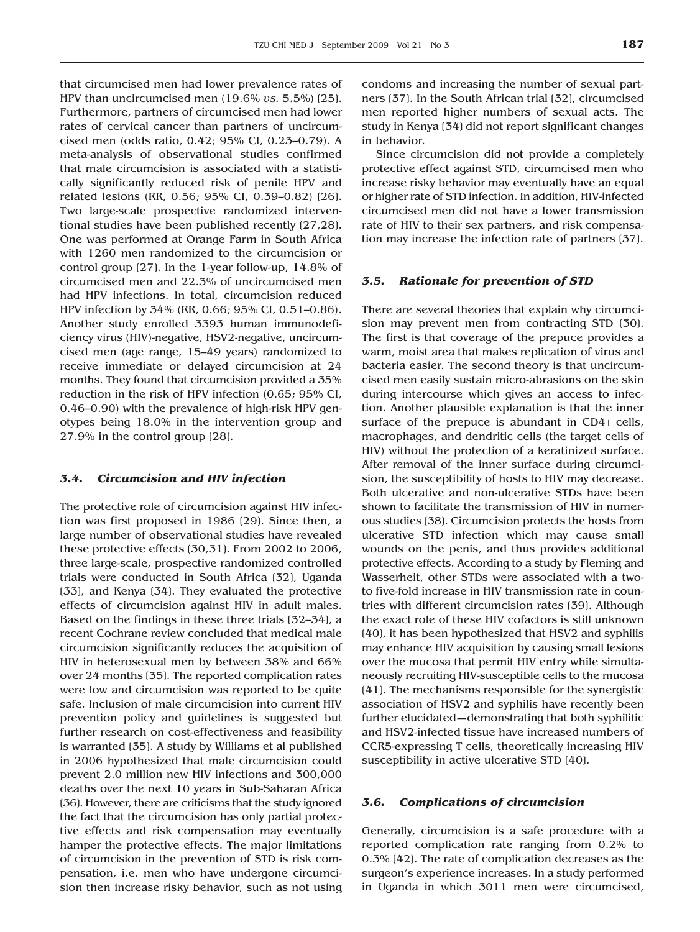that circumcised men had lower prevalence rates of HPV than uncircumcised men (19.6% *vs.* 5.5%) [25]. Furthermore, partners of circumcised men had lower rates of cervical cancer than partners of uncircumcised men (odds ratio, 0.42; 95% CI, 0.23–0.79). A meta-analysis of observational studies confirmed that male circumcision is associated with a statistically significantly reduced risk of penile HPV and related lesions (RR, 0.56; 95% CI, 0.39–0.82) [26]. Two large-scale prospective randomized interventional studies have been published recently [27,28]. One was performed at Orange Farm in South Africa with 1260 men randomized to the circumcision or control group [27]. In the 1-year follow-up, 14.8% of circumcised men and 22.3% of uncircumcised men had HPV infections. In total, circumcision reduced HPV infection by 34% (RR, 0.66; 95% CI, 0.51–0.86). Another study enrolled 3393 human immunodeficiency virus (HIV)-negative, HSV2-negative, uncircumcised men (age range, 15–49 years) randomized to receive immediate or delayed circumcision at 24 months. They found that circumcision provided a 35% reduction in the risk of HPV infection (0.65; 95% CI, 0.46–0.90) with the prevalence of high-risk HPV genotypes being 18.0% in the intervention group and 27.9% in the control group [28].

#### *3.4. Circumcision and HIV infection*

The protective role of circumcision against HIV infection was first proposed in 1986 [29]. Since then, a large number of observational studies have revealed these protective effects [30,31]. From 2002 to 2006, three large-scale, prospective randomized controlled trials were conducted in South Africa [32], Uganda [33], and Kenya [34]. They evaluated the protective effects of circumcision against HIV in adult males. Based on the findings in these three trials [32–34], a recent Cochrane review concluded that medical male circumcision significantly reduces the acquisition of HIV in heterosexual men by between 38% and 66% over 24 months [35]. The reported complication rates were low and circumcision was reported to be quite safe. Inclusion of male circumcision into current HIV prevention policy and guidelines is suggested but further research on cost-effectiveness and feasibility is warranted [35]. A study by Williams et al published in 2006 hypothesized that male circumcision could prevent 2.0 million new HIV infections and 300,000 deaths over the next 10 years in Sub-Saharan Africa [36]. However, there are criticisms that the study ignored the fact that the circumcision has only partial protective effects and risk compensation may eventually hamper the protective effects. The major limitations of circumcision in the prevention of STD is risk compensation, i.e. men who have undergone circumcision then increase risky behavior, such as not using condoms and increasing the number of sexual partners [37]. In the South African trial [32], circumcised men reported higher numbers of sexual acts. The study in Kenya [34] did not report significant changes in behavior.

Since circumcision did not provide a completely protective effect against STD, circumcised men who increase risky behavior may eventually have an equal or higher rate of STD infection. In addition, HIV-infected circumcised men did not have a lower transmission rate of HIV to their sex partners, and risk compensation may increase the infection rate of partners [37].

#### *3.5. Rationale for prevention of STD*

There are several theories that explain why circumcision may prevent men from contracting STD [30]. The first is that coverage of the prepuce provides a warm, moist area that makes replication of virus and bacteria easier. The second theory is that uncircumcised men easily sustain micro-abrasions on the skin during intercourse which gives an access to infection. Another plausible explanation is that the inner surface of the prepuce is abundant in CD4+ cells, macrophages, and dendritic cells (the target cells of HIV) without the protection of a keratinized surface. After removal of the inner surface during circumcision, the susceptibility of hosts to HIV may decrease. Both ulcerative and non-ulcerative STDs have been shown to facilitate the transmission of HIV in numerous studies [38]. Circumcision protects the hosts from ulcerative STD infection which may cause small wounds on the penis, and thus provides additional protective effects. According to a study by Fleming and Wasserheit, other STDs were associated with a twoto five-fold increase in HIV transmission rate in countries with different circumcision rates [39]. Although the exact role of these HIV cofactors is still unknown [40], it has been hypothesized that HSV2 and syphilis may enhance HIV acquisition by causing small lesions over the mucosa that permit HIV entry while simultaneously recruiting HIV-susceptible cells to the mucosa [41]. The mechanisms responsible for the synergistic association of HSV2 and syphilis have recently been further elucidated—demonstrating that both syphilitic and HSV2-infected tissue have increased numbers of CCR5-expressing T cells, theoretically increasing HIV susceptibility in active ulcerative STD [40].

#### *3.6. Complications of circumcision*

Generally, circumcision is a safe procedure with a reported complication rate ranging from 0.2% to 0.3% [42]. The rate of complication decreases as the surgeon's experience increases. In a study performed in Uganda in which 3011 men were circumcised,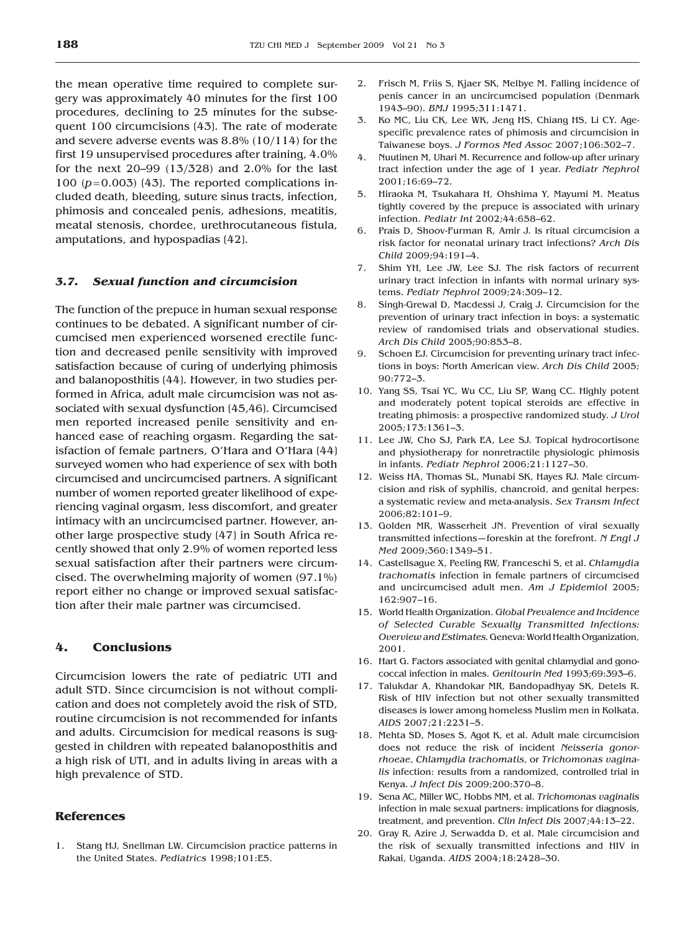the mean operative time required to complete surgery was approximately 40 minutes for the first 100 procedures, declining to 25 minutes for the subsequent 100 circumcisions [43]. The rate of moderate and severe adverse events was 8.8% (10/114) for the first 19 unsupervised procedures after training, 4.0% for the next 20–99 (13/328) and 2.0% for the last 100  $(p=0.003)$  (43). The reported complications included death, bleeding, suture sinus tracts, infection, phimosis and concealed penis, adhesions, meatitis, meatal stenosis, chordee, urethrocutaneous fistula, amputations, and hypospadias [42].

#### *3.7. Sexual function and circumcision*

The function of the prepuce in human sexual response continues to be debated. A significant number of circumcised men experienced worsened erectile function and decreased penile sensitivity with improved satisfaction because of curing of underlying phimosis and balanoposthitis [44]. However, in two studies performed in Africa, adult male circumcision was not associated with sexual dysfunction [45,46]. Circumcised men reported increased penile sensitivity and enhanced ease of reaching orgasm. Regarding the satisfaction of female partners, O'Hara and O'Hara [44] surveyed women who had experience of sex with both circumcised and uncircumcised partners. A significant number of women reported greater likelihood of experiencing vaginal orgasm, less discomfort, and greater intimacy with an uncircumcised partner. However, another large prospective study [47] in South Africa recently showed that only 2.9% of women reported less sexual satisfaction after their partners were circumcised. The overwhelming majority of women (97.1%) report either no change or improved sexual satisfaction after their male partner was circumcised.

## **4. Conclusions**

Circumcision lowers the rate of pediatric UTI and adult STD. Since circumcision is not without complication and does not completely avoid the risk of STD, routine circumcision is not recommended for infants and adults. Circumcision for medical reasons is suggested in children with repeated balanoposthitis and a high risk of UTI, and in adults living in areas with a high prevalence of STD.

## **References**

1. Stang HJ, Snellman LW. Circumcision practice patterns in the United States. *Pediatrics* 1998;101:E5.

- 2. Frisch M, Friis S, Kjaer SK, Melbye M. Falling incidence of penis cancer in an uncircumcised population (Denmark 1943–90). *BMJ* 1995;311:1471.
- 3. Ko MC, Liu CK, Lee WK, Jeng HS, Chiang HS, Li CY. Agespecific prevalence rates of phimosis and circumcision in Taiwanese boys. *J Formos Med Assoc* 2007;106:302–7.
- 4. Nuutinen M, Uhari M. Recurrence and follow-up after urinary tract infection under the age of 1 year. *Pediatr Nephrol* 2001;16:69–72.
- 5. Hiraoka M, Tsukahara H, Ohshima Y, Mayumi M. Meatus tightly covered by the prepuce is associated with urinary infection. *Pediatr Int* 2002;44:658–62.
- 6. Prais D, Shoov-Furman R, Amir J. Is ritual circumcision a risk factor for neonatal urinary tract infections? *Arch Dis Child* 2009;94:191–4.
- 7. Shim YH, Lee JW, Lee SJ. The risk factors of recurrent urinary tract infection in infants with normal urinary systems. *Pediatr Nephrol* 2009;24:309–12.
- 8. Singh-Grewal D, Macdessi J, Craig J. Circumcision for the prevention of urinary tract infection in boys: a systematic review of randomised trials and observational studies. *Arch Dis Child* 2005;90:853–8.
- 9. Schoen EJ. Circumcision for preventing urinary tract infections in boys: North American view. *Arch Dis Child* 2005; 90:772–3.
- 10. Yang SS, Tsai YC, Wu CC, Liu SP, Wang CC. Highly potent and moderately potent topical steroids are effective in treating phimosis: a prospective randomized study. *J Urol* 2005;173:1361–3.
- 11. Lee JW, Cho SJ, Park EA, Lee SJ. Topical hydrocortisone and physiotherapy for nonretractile physiologic phimosis in infants. *Pediatr Nephrol* 2006;21:1127–30.
- 12. Weiss HA, Thomas SL, Munabi SK, Hayes RJ. Male circumcision and risk of syphilis, chancroid, and genital herpes: a systematic review and meta-analysis. *Sex Transm Infect* 2006;82:101–9.
- 13. Golden MR, Wasserheit JN. Prevention of viral sexually transmitted infections—foreskin at the forefront. *N Engl J Med* 2009;360:1349–51.
- 14. Castellsague X, Peeling RW, Franceschi S, et al. *Chlamydia trachomatis* infection in female partners of circumcised and uncircumcised adult men. *Am J Epidemiol* 2005; 162:907–16.
- 15. World Health Organization. *Global Prevalence and Incidence of Selected Curable Sexually Transmitted Infections: Overview and Estimates.* Geneva: World Health Organization, 2001.
- 16. Hart G. Factors associated with genital chlamydial and gonococcal infection in males. *Genitourin Med* 1993;69:393–6.
- 17. Talukdar A, Khandokar MR, Bandopadhyay SK, Detels R. Risk of HIV infection but not other sexually transmitted diseases is lower among homeless Muslim men in Kolkata. *AIDS* 2007;21:2231–5.
- 18. Mehta SD, Moses S, Agot K, et al. Adult male circumcision does not reduce the risk of incident *Neisseria gonorrhoeae*, *Chlamydia trachomatis*, or *Trichomonas vaginalis* infection: results from a randomized, controlled trial in Kenya. *J Infect Dis* 2009;200:370–8.
- 19. Sena AC, Miller WC, Hobbs MM, et al. *Trichomonas vaginalis* infection in male sexual partners: implications for diagnosis, treatment, and prevention. *Clin Infect Dis* 2007;44:13–22.
- 20. Gray R, Azire J, Serwadda D, et al. Male circumcision and the risk of sexually transmitted infections and HIV in Rakai, Uganda. *AIDS* 2004;18:2428–30.